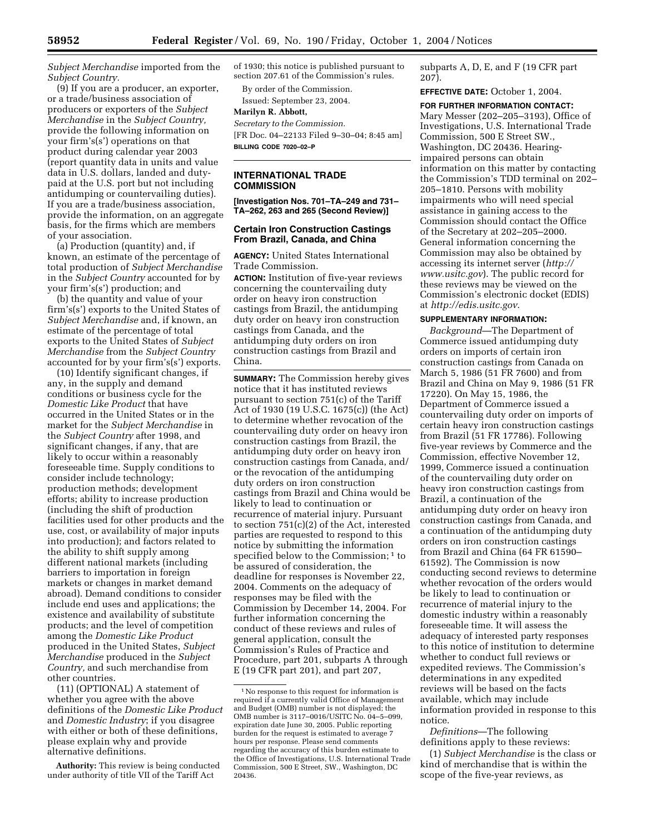*Subject Merchandise* imported from the *Subject Country.*

(9) If you are a producer, an exporter, or a trade/business association of producers or exporters of the *Subject Merchandise* in the *Subject Country,* provide the following information on your firm's(s') operations on that product during calendar year 2003 (report quantity data in units and value data in U.S. dollars, landed and dutypaid at the U.S. port but not including antidumping or countervailing duties). If you are a trade/business association, provide the information, on an aggregate basis, for the firms which are members of your association.

(a) Production (quantity) and, if known, an estimate of the percentage of total production of *Subject Merchandise* in the *Subject Country* accounted for by your firm's(s') production; and

(b) the quantity and value of your firm's(s') exports to the United States of *Subject Merchandise* and, if known, an estimate of the percentage of total exports to the United States of *Subject Merchandise* from the *Subject Country* accounted for by your firm's(s') exports.

(10) Identify significant changes, if any, in the supply and demand conditions or business cycle for the *Domestic Like Product* that have occurred in the United States or in the market for the *Subject Merchandise* in the *Subject Country* after 1998, and significant changes, if any, that are likely to occur within a reasonably foreseeable time. Supply conditions to consider include technology; production methods; development efforts; ability to increase production (including the shift of production facilities used for other products and the use, cost, or availability of major inputs into production); and factors related to the ability to shift supply among different national markets (including barriers to importation in foreign markets or changes in market demand abroad). Demand conditions to consider include end uses and applications; the existence and availability of substitute products; and the level of competition among the *Domestic Like Product* produced in the United States, *Subject Merchandise* produced in the *Subject Country,* and such merchandise from other countries.

(11) (OPTIONAL) A statement of whether you agree with the above definitions of the *Domestic Like Product* and *Domestic Industry*; if you disagree with either or both of these definitions, please explain why and provide alternative definitions.

**Authority:** This review is being conducted under authority of title VII of the Tariff Act

of 1930; this notice is published pursuant to section 207.61 of the Commission's rules.

By order of the Commission. Issued: September 23, 2004.

### **Marilyn R. Abbott,**

*Secretary to the Commission.* [FR Doc. 04–22133 Filed 9–30–04; 8:45 am] **BILLING CODE 7020–02–P**

# **INTERNATIONAL TRADE COMMISSION**

**[Investigation Nos. 701–TA–249 and 731– TA–262, 263 and 265 (Second Review)]** 

## **Certain Iron Construction Castings From Brazil, Canada, and China**

**AGENCY:** United States International Trade Commission.

**ACTION:** Institution of five-year reviews concerning the countervailing duty order on heavy iron construction castings from Brazil, the antidumping duty order on heavy iron construction castings from Canada, and the antidumping duty orders on iron construction castings from Brazil and China.

**SUMMARY:** The Commission hereby gives notice that it has instituted reviews pursuant to section 751(c) of the Tariff Act of 1930 (19 U.S.C. 1675(c)) (the Act) to determine whether revocation of the countervailing duty order on heavy iron construction castings from Brazil, the antidumping duty order on heavy iron construction castings from Canada, and/ or the revocation of the antidumping duty orders on iron construction castings from Brazil and China would be likely to lead to continuation or recurrence of material injury. Pursuant to section 751(c)(2) of the Act, interested parties are requested to respond to this notice by submitting the information specified below to the Commission;<sup>1</sup> to be assured of consideration, the deadline for responses is November 22, 2004. Comments on the adequacy of responses may be filed with the Commission by December 14, 2004. For further information concerning the conduct of these reviews and rules of general application, consult the Commission's Rules of Practice and Procedure, part 201, subparts A through E (19 CFR part 201), and part 207,

subparts A, D, E, and F (19 CFR part 207).

**EFFECTIVE DATE:** October 1, 2004.

**FOR FURTHER INFORMATION CONTACT:**

Mary Messer (202–205–3193), Office of Investigations, U.S. International Trade Commission, 500 E Street SW., Washington, DC 20436. Hearingimpaired persons can obtain information on this matter by contacting the Commission's TDD terminal on 202– 205–1810. Persons with mobility impairments who will need special assistance in gaining access to the Commission should contact the Office of the Secretary at 202–205–2000. General information concerning the Commission may also be obtained by accessing its internet server (*http:// www.usitc.gov*). The public record for these reviews may be viewed on the Commission's electronic docket (EDIS) at *http://edis.usitc.gov*.

### **SUPPLEMENTARY INFORMATION:**

*Background*—The Department of Commerce issued antidumping duty orders on imports of certain iron construction castings from Canada on March 5, 1986 (51 FR 7600) and from Brazil and China on May 9, 1986 (51 FR 17220). On May 15, 1986, the Department of Commerce issued a countervailing duty order on imports of certain heavy iron construction castings from Brazil (51 FR 17786). Following five-year reviews by Commerce and the Commission, effective November 12, 1999, Commerce issued a continuation of the countervailing duty order on heavy iron construction castings from Brazil, a continuation of the antidumping duty order on heavy iron construction castings from Canada, and a continuation of the antidumping duty orders on iron construction castings from Brazil and China (64 FR 61590– 61592). The Commission is now conducting second reviews to determine whether revocation of the orders would be likely to lead to continuation or recurrence of material injury to the domestic industry within a reasonably foreseeable time. It will assess the adequacy of interested party responses to this notice of institution to determine whether to conduct full reviews or expedited reviews. The Commission's determinations in any expedited reviews will be based on the facts available, which may include information provided in response to this notice.

*Definitions*—The following definitions apply to these reviews:

(1) *Subject Merchandise* is the class or kind of merchandise that is within the scope of the five-year reviews, as

<sup>1</sup>No response to this request for information is required if a currently valid Office of Management and Budget (OMB) number is not displayed; the OMB number is 3117–0016/USITC No. 04–5–099, expiration date June 30, 2005. Public reporting burden for the request is estimated to average 7 hours per response. Please send comments regarding the accuracy of this burden estimate to the Office of Investigations, U.S. International Trade Commission, 500 E Street, SW., Washington, DC 20436.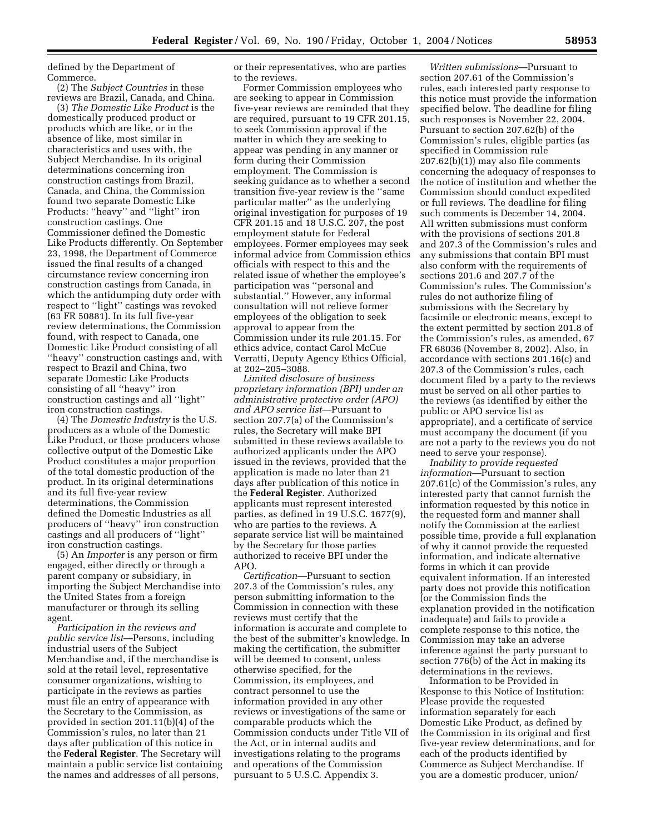defined by the Department of Commerce.

(2) The *Subject Countries* in these reviews are Brazil, Canada, and China.

(3) *The Domestic Like Product* is the domestically produced product or products which are like, or in the absence of like, most similar in characteristics and uses with, the Subject Merchandise. In its original determinations concerning iron construction castings from Brazil, Canada, and China, the Commission found two separate Domestic Like Products: ''heavy'' and ''light'' iron construction castings. One Commissioner defined the Domestic Like Products differently. On September 23, 1998, the Department of Commerce issued the final results of a changed circumstance review concerning iron construction castings from Canada, in which the antidumping duty order with respect to ''light'' castings was revoked (63 FR 50881). In its full five-year review determinations, the Commission found, with respect to Canada, one Domestic Like Product consisting of all ''heavy'' construction castings and, with respect to Brazil and China, two separate Domestic Like Products consisting of all ''heavy'' iron construction castings and all ''light'' iron construction castings.

(4) The *Domestic Industry* is the U.S. producers as a whole of the Domestic Like Product, or those producers whose collective output of the Domestic Like Product constitutes a major proportion of the total domestic production of the product. In its original determinations and its full five-year review determinations, the Commission defined the Domestic Industries as all producers of ''heavy'' iron construction castings and all producers of ''light'' iron construction castings.

(5) An *Importer* is any person or firm engaged, either directly or through a parent company or subsidiary, in importing the Subject Merchandise into the United States from a foreign manufacturer or through its selling agent.

*Participation in the reviews and public service list*—Persons, including industrial users of the Subject Merchandise and, if the merchandise is sold at the retail level, representative consumer organizations, wishing to participate in the reviews as parties must file an entry of appearance with the Secretary to the Commission, as provided in section 201.11(b)(4) of the Commission's rules, no later than 21 days after publication of this notice in the **Federal Register**. The Secretary will maintain a public service list containing the names and addresses of all persons,

or their representatives, who are parties to the reviews.

Former Commission employees who are seeking to appear in Commission five-year reviews are reminded that they are required, pursuant to 19 CFR 201.15, to seek Commission approval if the matter in which they are seeking to appear was pending in any manner or form during their Commission employment. The Commission is seeking guidance as to whether a second transition five-year review is the ''same particular matter'' as the underlying original investigation for purposes of 19 CFR 201.15 and 18 U.S.C. 207, the post employment statute for Federal employees. Former employees may seek informal advice from Commission ethics officials with respect to this and the related issue of whether the employee's participation was ''personal and substantial.'' However, any informal consultation will not relieve former employees of the obligation to seek approval to appear from the Commission under its rule 201.15. For ethics advice, contact Carol McCue Verratti, Deputy Agency Ethics Official, at 202–205–3088.

*Limited disclosure of business proprietary information (BPI) under an administrative protective order (APO) and APO service list*—Pursuant to section 207.7(a) of the Commission's rules, the Secretary will make BPI submitted in these reviews available to authorized applicants under the APO issued in the reviews, provided that the application is made no later than 21 days after publication of this notice in the **Federal Register**. Authorized applicants must represent interested parties, as defined in 19 U.S.C. 1677(9), who are parties to the reviews. A separate service list will be maintained by the Secretary for those parties authorized to receive BPI under the APO.

*Certification*—Pursuant to section 207.3 of the Commission's rules, any person submitting information to the Commission in connection with these reviews must certify that the information is accurate and complete to the best of the submitter's knowledge. In making the certification, the submitter will be deemed to consent, unless otherwise specified, for the Commission, its employees, and contract personnel to use the information provided in any other reviews or investigations of the same or comparable products which the Commission conducts under Title VII of the Act, or in internal audits and investigations relating to the programs and operations of the Commission pursuant to 5 U.S.C. Appendix 3.

*Written submissions*—Pursuant to section 207.61 of the Commission's rules, each interested party response to this notice must provide the information specified below. The deadline for filing such responses is November 22, 2004. Pursuant to section 207.62(b) of the Commission's rules, eligible parties (as specified in Commission rule 207.62(b)(1)) may also file comments concerning the adequacy of responses to the notice of institution and whether the Commission should conduct expedited or full reviews. The deadline for filing such comments is December 14, 2004. All written submissions must conform with the provisions of sections 201.8 and 207.3 of the Commission's rules and any submissions that contain BPI must also conform with the requirements of sections 201.6 and 207.7 of the Commission's rules. The Commission's rules do not authorize filing of submissions with the Secretary by facsimile or electronic means, except to the extent permitted by section 201.8 of the Commission's rules, as amended, 67 FR 68036 (November 8, 2002). Also, in accordance with sections 201.16(c) and 207.3 of the Commission's rules, each document filed by a party to the reviews must be served on all other parties to the reviews (as identified by either the public or APO service list as appropriate), and a certificate of service must accompany the document (if you are not a party to the reviews you do not need to serve your response).

*Inability to provide requested information*—Pursuant to section 207.61(c) of the Commission's rules, any interested party that cannot furnish the information requested by this notice in the requested form and manner shall notify the Commission at the earliest possible time, provide a full explanation of why it cannot provide the requested information, and indicate alternative forms in which it can provide equivalent information. If an interested party does not provide this notification (or the Commission finds the explanation provided in the notification inadequate) and fails to provide a complete response to this notice, the Commission may take an adverse inference against the party pursuant to section 776(b) of the Act in making its determinations in the reviews.

Information to be Provided in Response to this Notice of Institution: Please provide the requested information separately for each Domestic Like Product, as defined by the Commission in its original and first five-year review determinations, and for each of the products identified by Commerce as Subject Merchandise. If you are a domestic producer, union/